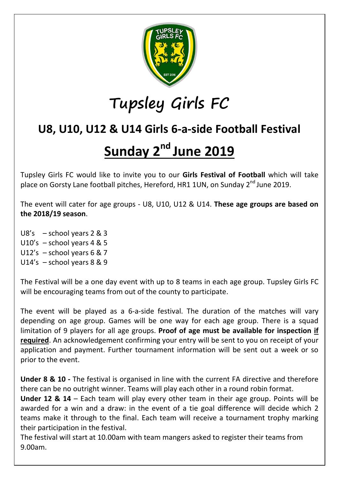

## **Tupsley Girls FC**

## **U8, U10, U12 & U14 Girls 6-a-side Football Festival**

## **Sunday 2 nd June 2019**

Tupsley Girls FC would like to invite you to our **Girls Festival of Football** which will take place on Gorsty Lane football pitches, Hereford, HR1 1UN, on Sunday 2<sup>nd</sup> June 2019.

The event will cater for age groups - U8, U10, U12 & U14. **These age groups are based on the 2018/19 season**.

U8's – school years 2 & 3 U10's – school years 4 & 5 U12's – school years 6 & 7 U14's – school years 8 & 9

The Festival will be a one day event with up to 8 teams in each age group. Tupsley Girls FC will be encouraging teams from out of the county to participate.

The event will be played as a 6-a-side festival. The duration of the matches will vary depending on age group. Games will be one way for each age group. There is a squad limitation of 9 players for all age groups. **Proof of age must be available for inspection if required**. An acknowledgement confirming your entry will be sent to you on receipt of your application and payment. Further tournament information will be sent out a week or so prior to the event.

**Under 8 & 10 -** The festival is organised in line with the current FA directive and therefore there can be no outright winner. Teams will play each other in a round robin format.

**Under 12 & 14** – Each team will play every other team in their age group. Points will be awarded for a win and a draw: in the event of a tie goal difference will decide which 2 teams make it through to the final. Each team will receive a tournament trophy marking their participation in the festival.

The festival will start at 10.00am with team mangers asked to register their teams from 9.00am.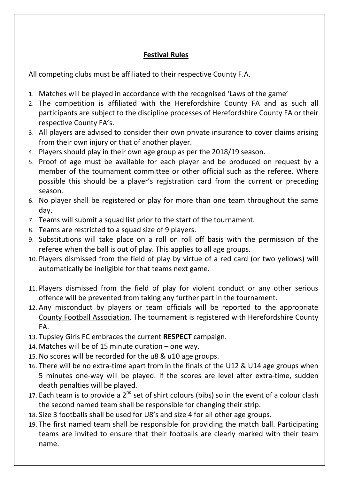## **Festival Rules**

All competing clubs must be affiliated to their respective County F.A.

- 1. Matches will be played in accordance with the recognised 'Laws of the game'
- 2. The competition is affiliated with the Herefordshire County FA and as such all participants are subject to the discipline processes of Herefordshire County FA or their respective County FA's.
- 3. All players are advised to consider their own private insurance to cover claims arising from their own injury or that of another player.
- 4. Players should play in their own age group as per the 2018/19 season.
- 5. Proof of age must be available for each player and be produced on request by a member of the tournament committee or other official such as the referee. Where possible this should be a player's registration card from the current or preceding season.
- 6. No player shall be registered or play for more than one team throughout the same day.
- 7. Teams will submit a squad list prior to the start of the tournament.
- 8. Teams are restricted to a squad size of 9 players.
- 9. Substitutions will take place on a roll on roll off basis with the permission of the referee when the ball is out of play. This applies to all age groups.
- 10. Players dismissed from the field of play by virtue of a red card (or two yellows) will automatically be ineligible for that teams next game.
- 11. Players dismissed from the field of play for violent conduct or any other serious offence will be prevented from taking any further part in the tournament.
- 12. Any misconduct by players or team officials will be reported to the appropriate County Football Association. The tournament is registered with Herefordshire County FA.
- 13. Tupsley Girls FC embraces the current **RESPECT** campaign.
- 14. Matches will be of 15 minute duration one way.
- 15. No scores will be recorded for the u8 & u10 age groups.
- 16. There will be no extra-time apart from in the finals of the U12 & U14 age groups when 5 minutes one-way will be played. If the scores are level after extra-time, sudden death penalties will be played.
- 17. Each team is to provide a  $2^{nd}$  set of shirt colours (bibs) so in the event of a colour clash the second named team shall be responsible for changing their strip.
- 18. Size 3 footballs shall be used for U8's and size 4 for all other age groups.
- 19. The first named team shall be responsible for providing the match ball. Participating teams are invited to ensure that their footballs are clearly marked with their team name.